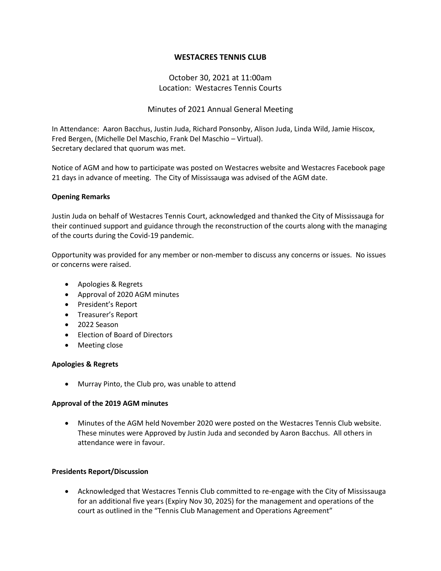# **WESTACRES TENNIS CLUB**

# October 30, 2021 at 11:00am Location: Westacres Tennis Courts

# Minutes of 2021 Annual General Meeting

In Attendance: Aaron Bacchus, Justin Juda, Richard Ponsonby, Alison Juda, Linda Wild, Jamie Hiscox, Fred Bergen, (Michelle Del Maschio, Frank Del Maschio – Virtual). Secretary declared that quorum was met.

Notice of AGM and how to participate was posted on Westacres website and Westacres Facebook page 21 days in advance of meeting. The City of Mississauga was advised of the AGM date.

#### **Opening Remarks**

Justin Juda on behalf of Westacres Tennis Court, acknowledged and thanked the City of Mississauga for their continued support and guidance through the reconstruction of the courts along with the managing of the courts during the Covid-19 pandemic.

Opportunity was provided for any member or non-member to discuss any concerns or issues. No issues or concerns were raised.

- Apologies & Regrets
- Approval of 2020 AGM minutes
- President's Report
- Treasurer's Report
- 2022 Season
- Election of Board of Directors
- Meeting close

## **Apologies & Regrets**

• Murray Pinto, the Club pro, was unable to attend

## **Approval of the 2019 AGM minutes**

• Minutes of the AGM held November 2020 were posted on the Westacres Tennis Club website. These minutes were Approved by Justin Juda and seconded by Aaron Bacchus. All others in attendance were in favour.

#### **Presidents Report/Discussion**

• Acknowledged that Westacres Tennis Club committed to re-engage with the City of Mississauga for an additional five years (Expiry Nov 30, 2025) for the management and operations of the court as outlined in the "Tennis Club Management and Operations Agreement"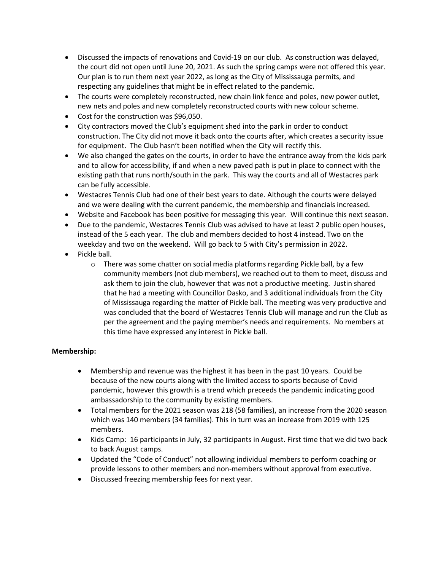- Discussed the impacts of renovations and Covid-19 on our club. As construction was delayed, the court did not open until June 20, 2021. As such the spring camps were not offered this year. Our plan is to run them next year 2022, as long as the City of Mississauga permits, and respecting any guidelines that might be in effect related to the pandemic.
- The courts were completely reconstructed, new chain link fence and poles, new power outlet, new nets and poles and new completely reconstructed courts with new colour scheme.
- Cost for the construction was \$96,050.
- City contractors moved the Club's equipment shed into the park in order to conduct construction. The City did not move it back onto the courts after, which creates a security issue for equipment. The Club hasn't been notified when the City will rectify this.
- We also changed the gates on the courts, in order to have the entrance away from the kids park and to allow for accessibility, if and when a new paved path is put in place to connect with the existing path that runs north/south in the park. This way the courts and all of Westacres park can be fully accessible.
- Westacres Tennis Club had one of their best years to date. Although the courts were delayed and we were dealing with the current pandemic, the membership and financials increased.
- Website and Facebook has been positive for messaging this year. Will continue this next season.
- Due to the pandemic, Westacres Tennis Club was advised to have at least 2 public open houses, instead of the 5 each year. The club and members decided to host 4 instead. Two on the weekday and two on the weekend. Will go back to 5 with City's permission in 2022.
- Pickle ball.
	- $\circ$  There was some chatter on social media platforms regarding Pickle ball, by a few community members (not club members), we reached out to them to meet, discuss and ask them to join the club, however that was not a productive meeting. Justin shared that he had a meeting with Councillor Dasko, and 3 additional individuals from the City of Mississauga regarding the matter of Pickle ball. The meeting was very productive and was concluded that the board of Westacres Tennis Club will manage and run the Club as per the agreement and the paying member's needs and requirements. No members at this time have expressed any interest in Pickle ball.

# **Membership:**

- Membership and revenue was the highest it has been in the past 10 years. Could be because of the new courts along with the limited access to sports because of Covid pandemic, however this growth is a trend which preceeds the pandemic indicating good ambassadorship to the community by existing members.
- Total members for the 2021 season was 218 (58 families), an increase from the 2020 season which was 140 members (34 families). This in turn was an increase from 2019 with 125 members.
- Kids Camp: 16 participants in July, 32 participants in August. First time that we did two back to back August camps.
- Updated the "Code of Conduct" not allowing individual members to perform coaching or provide lessons to other members and non-members without approval from executive.
- Discussed freezing membership fees for next year.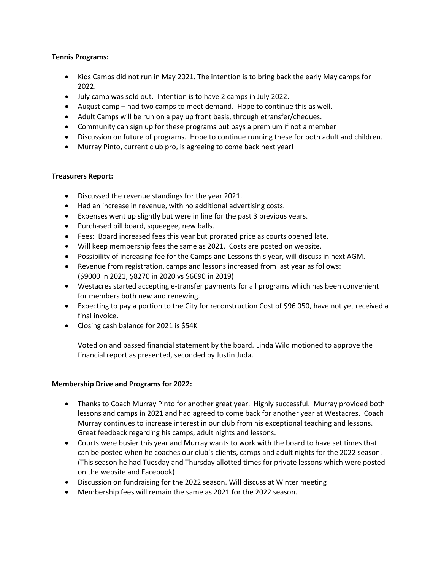## **Tennis Programs:**

- Kids Camps did not run in May 2021. The intention is to bring back the early May camps for 2022.
- July camp was sold out. Intention is to have 2 camps in July 2022.
- August camp had two camps to meet demand. Hope to continue this as well.
- Adult Camps will be run on a pay up front basis, through etransfer/cheques.
- Community can sign up for these programs but pays a premium if not a member
- Discussion on future of programs. Hope to continue running these for both adult and children.
- Murray Pinto, current club pro, is agreeing to come back next year!

# **Treasurers Report:**

- Discussed the revenue standings for the year 2021.
- Had an increase in revenue, with no additional advertising costs.
- Expenses went up slightly but were in line for the past 3 previous years.
- Purchased bill board, squeegee, new balls.
- Fees: Board increased fees this year but prorated price as courts opened late.
- Will keep membership fees the same as 2021. Costs are posted on website.
- Possibility of increasing fee for the Camps and Lessons this year, will discuss in next AGM.
- Revenue from registration, camps and lessons increased from last year as follows: (\$9000 in 2021, \$8270 in 2020 vs \$6690 in 2019)
- Westacres started accepting e-transfer payments for all programs which has been convenient for members both new and renewing.
- Expecting to pay a portion to the City for reconstruction Cost of \$96 050, have not yet received a final invoice.
- Closing cash balance for 2021 is \$54K

Voted on and passed financial statement by the board. Linda Wild motioned to approve the financial report as presented, seconded by Justin Juda.

## **Membership Drive and Programs for 2022:**

- Thanks to Coach Murray Pinto for another great year. Highly successful. Murray provided both lessons and camps in 2021 and had agreed to come back for another year at Westacres. Coach Murray continues to increase interest in our club from his exceptional teaching and lessons. Great feedback regarding his camps, adult nights and lessons.
- Courts were busier this year and Murray wants to work with the board to have set times that can be posted when he coaches our club's clients, camps and adult nights for the 2022 season. (This season he had Tuesday and Thursday allotted times for private lessons which were posted on the website and Facebook)
- Discussion on fundraising for the 2022 season. Will discuss at Winter meeting
- Membership fees will remain the same as 2021 for the 2022 season.